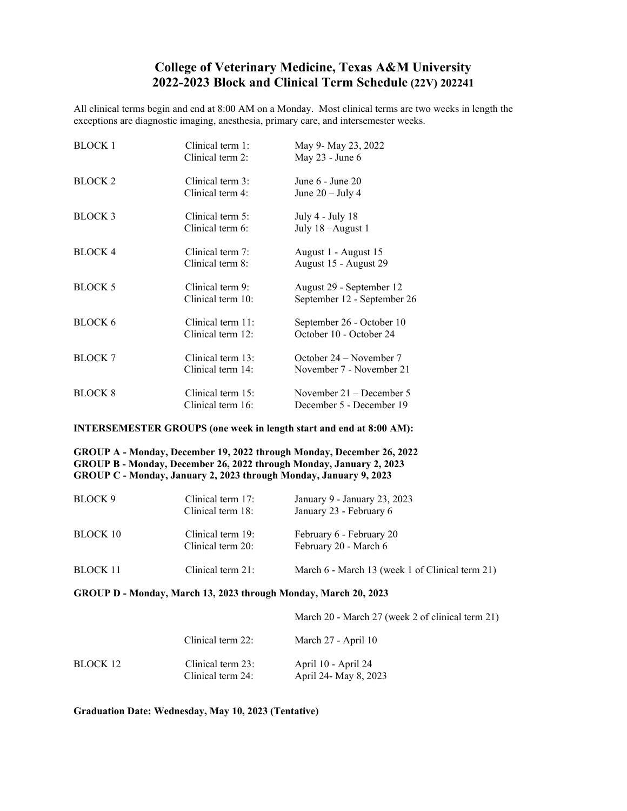## **College of Veterinary Medicine, Texas A&M University 2022-2023 Block and Clinical Term Schedule (22V) 202241**

All clinical terms begin and end at 8:00 AM on a Monday. Most clinical terms are two weeks in length the exceptions are diagnostic imaging, anesthesia, primary care, and intersemester weeks.

| <b>BLOCK 1</b>     | Clinical term 1:  | May 9- May 23, 2022         |
|--------------------|-------------------|-----------------------------|
|                    | Clinical term 2:  | May 23 - June 6             |
| <b>BLOCK 2</b>     | Clinical term 3:  | June 6 - June 20            |
|                    | Clinical term 4:  | June $20 -$ July 4          |
| BLOCK <sub>3</sub> | Clinical term 5:  | July 4 - July 18            |
|                    | Clinical term 6:  | July 18 - August 1          |
| <b>BLOCK 4</b>     | Clinical term 7:  | August 1 - August 15        |
|                    | Clinical term 8:  | August 15 - August 29       |
| <b>BLOCK 5</b>     | Clinical term 9:  | August 29 - September 12    |
|                    | Clinical term 10: | September 12 - September 26 |
| BLOCK 6            | Clinical term 11: | September 26 - October 10   |
|                    | Clinical term 12: | October 10 - October 24     |
| <b>BLOCK 7</b>     | Clinical term 13: | October 24 – November 7     |
|                    | Clinical term 14: | November 7 - November 21    |
| <b>BLOCK 8</b>     | Clinical term 15: | November $21 -$ December 5  |
|                    | Clinical term 16: | December 5 - December 19    |

## **INTERSEMESTER GROUPS (one week in length start and end at 8:00 AM):**

**GROUP A - Monday, December 19, 2022 through Monday, December 26, 2022 GROUP B - Monday, December 26, 2022 through Monday, January 2, 2023 GROUP C - Monday, January 2, 2023 through Monday, January 9, 2023**

| BLOCK 9         | Clinical term 17:<br>Clinical term 18: | January 9 - January 23, 2023<br>January 23 - February 6 |
|-----------------|----------------------------------------|---------------------------------------------------------|
| BLOCK 10        | Clinical term 19:<br>Clinical term 20: | February 6 - February 20<br>February 20 - March 6       |
| <b>BLOCK 11</b> | Clinical term 21:                      | March 6 - March 13 (week 1 of Clinical term 21)         |

**GROUP D - Monday, March 13, 2023 through Monday, March 20, 2023**

|          |                                        | March 20 - March 27 (week 2 of clinical term 21) |
|----------|----------------------------------------|--------------------------------------------------|
|          | Clinical term 22:                      | March 27 - April 10                              |
| BLOCK 12 | Clinical term 23:<br>Clinical term 24: | April 10 - April 24<br>April 24- May 8, 2023     |

**Graduation Date: Wednesday, May 10, 2023 (Tentative)**